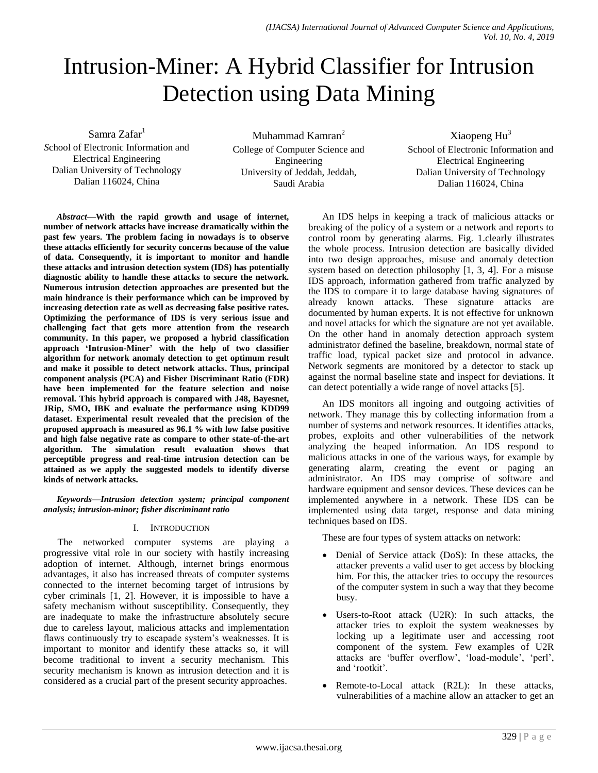# Intrusion-Miner: A Hybrid Classifier for Intrusion Detection using Data Mining

Samra Zafar<sup>1</sup>

*S*chool of Electronic Information and Electrical Engineering Dalian University of Technology Dalian 116024, China

Muhammad Kamran<sup>2</sup> College of Computer Science and Engineering University of Jeddah, Jeddah, Saudi Arabia

Xiaopeng Hu<sup>3</sup> School of Electronic Information and Electrical Engineering Dalian University of Technology Dalian 116024, China

*Abstract***—With the rapid growth and usage of internet, number of network attacks have increase dramatically within the past few years. The problem facing in nowadays is to observe these attacks efficiently for security concerns because of the value of data. Consequently, it is important to monitor and handle these attacks and intrusion detection system (IDS) has potentially diagnostic ability to handle these attacks to secure the network. Numerous intrusion detection approaches are presented but the main hindrance is their performance which can be improved by increasing detection rate as well as decreasing false positive rates. Optimizing the performance of IDS is very serious issue and challenging fact that gets more attention from the research community. In this paper, we proposed a hybrid classification approach 'Intrusion-Miner' with the help of two classifier algorithm for network anomaly detection to get optimum result and make it possible to detect network attacks. Thus, principal component analysis (PCA) and Fisher Discriminant Ratio (FDR) have been implemented for the feature selection and noise removal. This hybrid approach is compared with J48, Bayesnet, JRip, SMO, IBK and evaluate the performance using KDD99 dataset. Experimental result revealed that the precision of the proposed approach is measured as 96.1 % with low false positive and high false negative rate as compare to other state-of-the-art algorithm. The simulation result evaluation shows that perceptible progress and real-time intrusion detection can be attained as we apply the suggested models to identify diverse kinds of network attacks.**

*Keywords*—*Intrusion detection system; principal component analysis; intrusion-minor; fisher discriminant ratio*

# I. INTRODUCTION

The networked computer systems are playing a progressive vital role in our society with hastily increasing adoption of internet. Although, internet brings enormous advantages, it also has increased threats of computer systems connected to the internet becoming target of intrusions by cyber criminals [1, 2]. However, it is impossible to have a safety mechanism without susceptibility. Consequently, they are inadequate to make the infrastructure absolutely secure due to careless layout, malicious attacks and implementation flaws continuously try to escapade system's weaknesses. It is important to monitor and identify these attacks so, it will become traditional to invent a security mechanism. This security mechanism is known as intrusion detection and it is considered as a crucial part of the present security approaches.

An IDS helps in keeping a track of malicious attacks or breaking of the policy of a system or a network and reports to control room by generating alarms. Fig. 1.clearly illustrates the whole process. Intrusion detection are basically divided into two design approaches, misuse and anomaly detection system based on detection philosophy [1, 3, 4]. For a misuse IDS approach, information gathered from traffic analyzed by the IDS to compare it to large database having signatures of already known attacks. These signature attacks are documented by human experts. It is not effective for unknown and novel attacks for which the signature are not yet available. On the other hand in anomaly detection approach system administrator defined the baseline, breakdown, normal state of traffic load, typical packet size and protocol in advance. Network segments are monitored by a detector to stack up against the normal baseline state and inspect for deviations. It can detect potentially a wide range of novel attacks [5].

An IDS monitors all ingoing and outgoing activities of network. They manage this by collecting information from a number of systems and network resources. It identifies attacks, probes, exploits and other vulnerabilities of the network analyzing the heaped information. An IDS respond to malicious attacks in one of the various ways, for example by generating alarm, creating the event or paging an administrator. An IDS may comprise of software and hardware equipment and sensor devices. These devices can be implemented anywhere in a network. These IDS can be implemented using data target, response and data mining techniques based on IDS.

These are four types of system attacks on network:

- Denial of Service attack (DoS): In these attacks, the attacker prevents a valid user to get access by blocking him. For this, the attacker tries to occupy the resources of the computer system in such a way that they become busy.
- Users-to-Root attack (U2R): In such attacks, the attacker tries to exploit the system weaknesses by locking up a legitimate user and accessing root component of the system. Few examples of U2R attacks are 'buffer overflow', 'load-module', 'perl', and 'rootkit'.
- Remote-to-Local attack (R2L): In these attacks, vulnerabilities of a machine allow an attacker to get an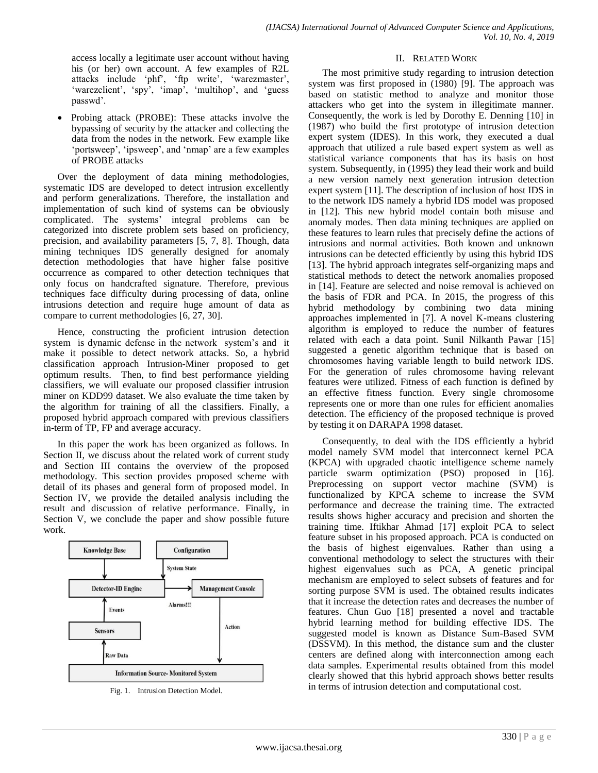access locally a legitimate user account without having his (or her) own account. A few examples of R2L attacks include 'phf', 'ftp write', 'warezmaster', 'warezclient', 'spy', 'imap', 'multihop', and 'guess passwd'.

 Probing attack (PROBE): These attacks involve the bypassing of security by the attacker and collecting the data from the nodes in the network. Few example like 'portsweep', 'ipsweep', and 'nmap' are a few examples of PROBE attacks

Over the deployment of data mining methodologies, systematic IDS are developed to detect intrusion excellently and perform generalizations. Therefore, the installation and implementation of such kind of systems can be obviously complicated. The systems' integral problems can be categorized into discrete problem sets based on proficiency, precision, and availability parameters [5, 7, 8]. Though, data mining techniques IDS generally designed for anomaly detection methodologies that have higher false positive occurrence as compared to other detection techniques that only focus on handcrafted signature. Therefore, previous techniques face difficulty during processing of data, online intrusions detection and require huge amount of data as compare to current methodologies [6, 27, 30].

Hence, constructing the proficient intrusion detection system is dynamic defense in the network system's and it make it possible to detect network attacks. So, a hybrid classification approach Intrusion-Miner proposed to get optimum results. Then, to find best performance yielding classifiers, we will evaluate our proposed classifier intrusion miner on KDD99 dataset. We also evaluate the time taken by the algorithm for training of all the classifiers. Finally, a proposed hybrid approach compared with previous classifiers in-term of TP, FP and average accuracy.

In this paper the work has been organized as follows. In Section II, we discuss about the related work of current study and Section III contains the overview of the proposed methodology. This section provides proposed scheme with detail of its phases and general form of proposed model. In Section IV, we provide the detailed analysis including the result and discussion of relative performance. Finally, in Section V, we conclude the paper and show possible future work.



Fig. 1. Intrusion Detection Model.

## II. RELATED WORK

The most primitive study regarding to intrusion detection system was first proposed in (1980) [9]. The approach was based on statistic method to analyze and monitor those attackers who get into the system in illegitimate manner. Consequently, the work is led by Dorothy E. Denning [10] in (1987) who build the first prototype of intrusion detection expert system (IDES). In this work, they executed a dual approach that utilized a rule based expert system as well as statistical variance components that has its basis on host system. Subsequently, in (1995) they lead their work and build a new version namely next generation intrusion detection expert system [11]. The description of inclusion of host IDS in to the network IDS namely a hybrid IDS model was proposed in [12]. This new hybrid model contain both misuse and anomaly modes. Then data mining techniques are applied on these features to learn rules that precisely define the actions of intrusions and normal activities. Both known and unknown intrusions can be detected efficiently by using this hybrid IDS [13]. The hybrid approach integrates self-organizing maps and statistical methods to detect the network anomalies proposed in [14]. Feature are selected and noise removal is achieved on the basis of FDR and PCA. In 2015, the progress of this hybrid methodology by combining two data mining approaches implemented in [7]. A novel K-means clustering algorithm is employed to reduce the number of features related with each a data point. Sunil Nilkanth Pawar [15] suggested a genetic algorithm technique that is based on chromosomes having variable length to build network IDS. For the generation of rules chromosome having relevant features were utilized. Fitness of each function is defined by an effective fitness function. Every single chromosome represents one or more than one rules for efficient anomalies detection. The efficiency of the proposed technique is proved by testing it on DARAPA 1998 dataset.

Consequently, to deal with the IDS efficiently a hybrid model namely SVM model that interconnect kernel PCA (KPCA) with upgraded chaotic intelligence scheme namely particle swarm optimization (PSO) proposed in [16]. Preprocessing on support vector machine (SVM) is functionalized by KPCA scheme to increase the SVM performance and decrease the training time. The extracted results shows higher accuracy and precision and shorten the training time. Iftikhar Ahmad [17] exploit PCA to select feature subset in his proposed approach. PCA is conducted on the basis of highest eigenvalues. Rather than using a conventional methodology to select the structures with their highest eigenvalues such as PCA, A genetic principal mechanism are employed to select subsets of features and for sorting purpose SVM is used. The obtained results indicates that it increase the detection rates and decreases the number of features. Chun Guo [18] presented a novel and tractable hybrid learning method for building effective IDS. The suggested model is known as Distance Sum-Based SVM (DSSVM). In this method, the distance sum and the cluster centers are defined along with interconnection among each data samples. Experimental results obtained from this model clearly showed that this hybrid approach shows better results in terms of intrusion detection and computational cost.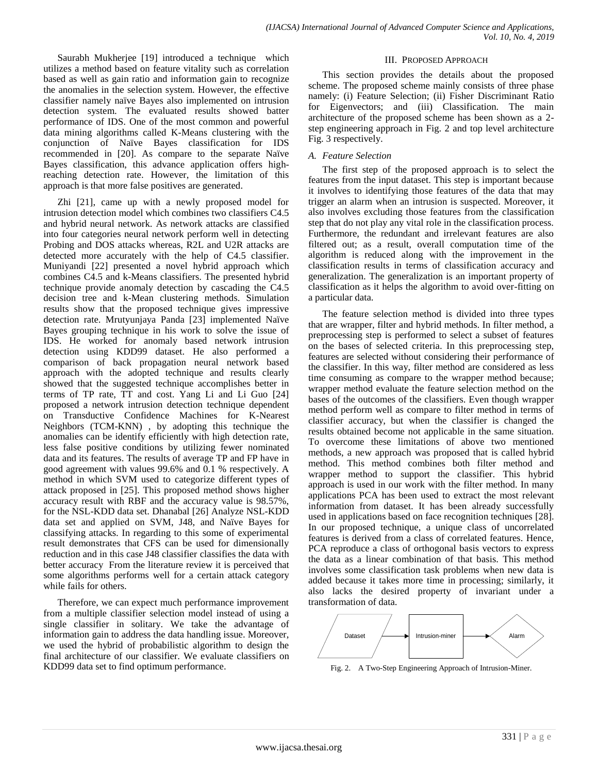Saurabh Mukherjee [19] introduced a technique which utilizes a method based on feature vitality such as correlation based as well as gain ratio and information gain to recognize the anomalies in the selection system. However, the effective classifier namely naïve Bayes also implemented on intrusion detection system. The evaluated results showed batter performance of IDS. One of the most common and powerful data mining algorithms called K-Means clustering with the conjunction of Naïve Bayes classification for IDS recommended in [20]. As compare to the separate Naïve Bayes classification, this advance application offers highreaching detection rate. However, the limitation of this approach is that more false positives are generated.

Zhi [21], came up with a newly proposed model for intrusion detection model which combines two classifiers C4.5 and hybrid neural network. As network attacks are classified into four categories neural network perform well in detecting Probing and DOS attacks whereas, R2L and U2R attacks are detected more accurately with the help of C4.5 classifier. Muniyandi [22] presented a novel hybrid approach which combines C4.5 and k-Means classifiers. The presented hybrid technique provide anomaly detection by cascading the C4.5 decision tree and k-Mean clustering methods. Simulation results show that the proposed technique gives impressive detection rate. Mrutyunjaya Panda [23] implemented Naïve Bayes grouping technique in his work to solve the issue of IDS. He worked for anomaly based network intrusion detection using KDD99 dataset. He also performed a comparison of back propagation neural network based approach with the adopted technique and results clearly showed that the suggested technique accomplishes better in terms of TP rate, TT and cost. Yang Li and Li Guo [24] proposed a network intrusion detection technique dependent on Transductive Confidence Machines for K-Nearest Neighbors (TCM-KNN) , by adopting this technique the anomalies can be identify efficiently with high detection rate, less false positive conditions by utilizing fewer nominated data and its features. The results of average TP and FP have in good agreement with values 99.6% and 0.1 % respectively. A method in which SVM used to categorize different types of attack proposed in [25]. This proposed method shows higher accuracy result with RBF and the accuracy value is 98.57%, for the NSL-KDD data set. Dhanabal [26] Analyze NSL-KDD data set and applied on SVM, J48, and Naïve Bayes for classifying attacks. In regarding to this some of experimental result demonstrates that CFS can be used for dimensionally reduction and in this case J48 classifier classifies the data with better accuracy From the literature review it is perceived that some algorithms performs well for a certain attack category while fails for others.

Therefore, we can expect much performance improvement from a multiple classifier selection model instead of using a single classifier in solitary. We take the advantage of information gain to address the data handling issue. Moreover, we used the hybrid of probabilistic algorithm to design the final architecture of our classifier. We evaluate classifiers on KDD99 data set to find optimum performance.

## III. PROPOSED APPROACH

This section provides the details about the proposed scheme. The proposed scheme mainly consists of three phase namely: (i) Feature Selection; (ii) Fisher Discriminant Ratio for Eigenvectors; and (iii) Classification. The main architecture of the proposed scheme has been shown as a 2 step engineering approach in Fig. 2 and top level architecture Fig. 3 respectively.

# *A. Feature Selection*

The first step of the proposed approach is to select the features from the input dataset. This step is important because it involves to identifying those features of the data that may trigger an alarm when an intrusion is suspected. Moreover, it also involves excluding those features from the classification step that do not play any vital role in the classification process. Furthermore, the redundant and irrelevant features are also filtered out; as a result, overall computation time of the algorithm is reduced along with the improvement in the classification results in terms of classification accuracy and generalization. The generalization is an important property of classification as it helps the algorithm to avoid over-fitting on a particular data.

The feature selection method is divided into three types that are wrapper, filter and hybrid methods. In filter method, a preprocessing step is performed to select a subset of features on the bases of selected criteria. In this preprocessing step, features are selected without considering their performance of the classifier. In this way, filter method are considered as less time consuming as compare to the wrapper method because; wrapper method evaluate the feature selection method on the bases of the outcomes of the classifiers. Even though wrapper method perform well as compare to filter method in terms of classifier accuracy, but when the classifier is changed the results obtained become not applicable in the same situation. To overcome these limitations of above two mentioned methods, a new approach was proposed that is called hybrid method. This method combines both filter method and wrapper method to support the classifier. This hybrid approach is used in our work with the filter method. In many applications PCA has been used to extract the most relevant information from dataset. It has been already successfully used in applications based on face recognition techniques [28]. In our proposed technique, a unique class of uncorrelated features is derived from a class of correlated features. Hence, PCA reproduce a class of orthogonal basis vectors to express the data as a linear combination of that basis. This method involves some classification task problems when new data is added because it takes more time in processing; similarly, it also lacks the desired property of invariant under a transformation of data.



Fig. 2. A Two-Step Engineering Approach of Intrusion-Miner.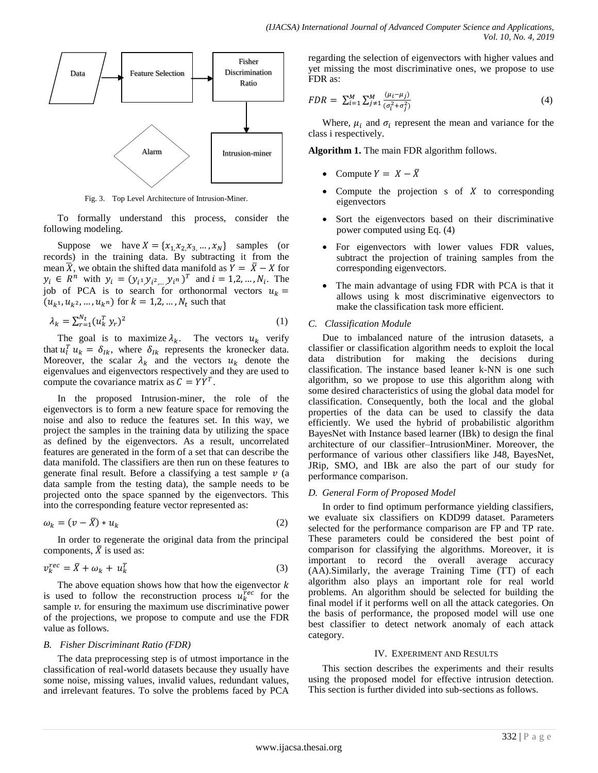

Fig. 3. Top Level Architecture of Intrusion-Miner.

To formally understand this process, consider the following modeling.

Suppose we have  $X = \{x_1, x_2, x_3, ..., x_N\}$  samples (or records) in the training data. By subtracting it from the mean  $\overline{X}$ , we obtain the shifted data manifold as  $\overline{Y} = \overline{X} - X$  for  $y_i \in R^n$  with  $y_i = (y_{i^1} y_{i^2} y_{i^n})^T$  and  $i = 1, 2, ..., N_i$ . The job of PCA is to search for orthonormal vectors  $u_k =$  $(u_{k^1}, u_{k^2}, ..., u_{k^n})$  for  $k = 1, 2, ..., N_t$  such that

$$
\lambda_k = \sum_{r=1}^{N_t} (u_k^T y_r)^2 \tag{1}
$$

The goal is to maximize  $\lambda_k$ . The vectors  $u_k$  verify that  $u_l^T u_k = \delta_{lk}$ , where  $\delta_{lk}$  represents the kronecker data. Moreover, the scalar  $\lambda_k$  and the vectors  $u_k$  denote the eigenvalues and eigenvectors respectively and they are used to compute the covariance matrix as  $C = YY^{T}$ .

In the proposed Intrusion-miner, the role of the eigenvectors is to form a new feature space for removing the noise and also to reduce the features set. In this way, we project the samples in the training data by utilizing the space as defined by the eigenvectors. As a result, uncorrelated features are generated in the form of a set that can describe the data manifold. The classifiers are then run on these features to generate final result. Before a classifying a test sample  $\nu$  (a data sample from the testing data), the sample needs to be projected onto the space spanned by the eigenvectors. This into the corresponding feature vector represented as:

$$
\omega_k = (v - \bar{X}) * u_k \tag{2}
$$

In order to regenerate the original data from the principal components,  $\overline{X}$  is used as:

$$
v_k^{rec} = \bar{X} + \omega_k + u_k^T
$$
 (3)

The above equation shows how that how the eigenvector  $k$ is used to follow the reconstruction process  $u_k^{rec}$  for the sample  $\nu$ . for ensuring the maximum use discriminative power of the projections, we propose to compute and use the FDR value as follows.

#### *B. Fisher Discriminant Ratio (FDR)*

The data preprocessing step is of utmost importance in the classification of real-world datasets because they usually have some noise, missing values, invalid values, redundant values, and irrelevant features. To solve the problems faced by PCA

regarding the selection of eigenvectors with higher values and yet missing the most discriminative ones, we propose to use FDR as:

$$
FDR = \sum_{i=1}^{M} \sum_{j \neq 1}^{M} \frac{(\mu_i - \mu_j)}{(\sigma_i^2 + \sigma_j^2)}
$$
(4)

Where,  $\mu_i$  and  $\sigma_i$  represent the mean and variance for the class i respectively.

**Algorithm 1.** The main FDR algorithm follows.

- Compute  $Y = X \overline{X}$
- Compute the projection  $s$  of  $X$  to corresponding eigenvectors
- Sort the eigenvectors based on their discriminative power computed using Eq. (4)
- For eigenvectors with lower values FDR values, subtract the projection of training samples from the corresponding eigenvectors.
- The main advantage of using FDR with PCA is that it allows using k most discriminative eigenvectors to make the classification task more efficient.

#### *C. Classification Module*

Due to imbalanced nature of the intrusion datasets, a classifier or classification algorithm needs to exploit the local data distribution for making the decisions during classification. The instance based leaner k-NN is one such algorithm, so we propose to use this algorithm along with some desired characteristics of using the global data model for classification. Consequently, both the local and the global properties of the data can be used to classify the data efficiently. We used the hybrid of probabilistic algorithm BayesNet with Instance based learner (IBk) to design the final architecture of our classifier–IntrusionMiner. Moreover, the performance of various other classifiers like J48, BayesNet, JRip, SMO, and IBk are also the part of our study for performance comparison.

#### *D. General Form of Proposed Model*

In order to find optimum performance yielding classifiers, we evaluate six classifiers on KDD99 dataset. Parameters selected for the performance comparison are FP and TP rate. These parameters could be considered the best point of comparison for classifying the algorithms. Moreover, it is important to record the overall average accuracy (AA).Similarly, the average Training Time (TT) of each algorithm also plays an important role for real world problems. An algorithm should be selected for building the final model if it performs well on all the attack categories. On the basis of performance, the proposed model will use one best classifier to detect network anomaly of each attack category.

#### IV. EXPERIMENT AND RESULTS

This section describes the experiments and their results using the proposed model for effective intrusion detection. This section is further divided into sub-sections as follows.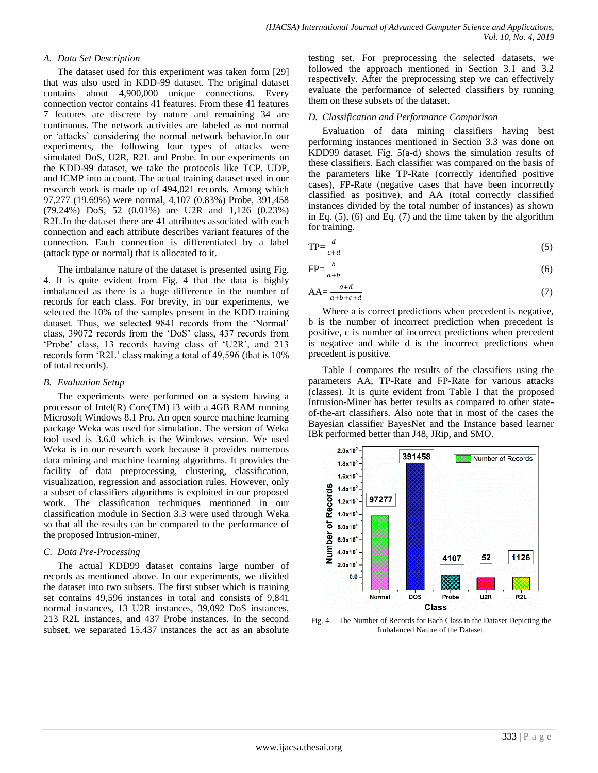## *A. Data Set Description*

The dataset used for this experiment was taken form [29] that was also used in KDD-99 dataset. The original dataset contains about 4,900,000 unique connections. Every connection vector contains 41 features. From these 41 features 7 features are discrete by nature and remaining 34 are continuous. The network activities are labeled as not normal or 'attacks' considering the normal network behavior.In our experiments, the following four types of attacks were simulated DoS, U2R, R2L and Probe. In our experiments on the KDD-99 dataset, we take the protocols like TCP, UDP, and ICMP into account. The actual training dataset used in our research work is made up of 494,021 records. Among which 97,277 (19.69%) were normal, 4,107 (0.83%) Probe, 391,458 (79.24%) DoS, 52 (0.01%) are U2R and 1,126 (0.23%) R2L.In the dataset there are 41 attributes associated with each connection and each attribute describes variant features of the connection. Each connection is differentiated by a label (attack type or normal) that is allocated to it.

The imbalance nature of the dataset is presented using Fig. 4. It is quite evident from Fig. 4 that the data is highly imbalanced as there is a huge difference in the number of records for each class. For brevity, in our experiments, we selected the 10% of the samples present in the KDD training dataset. Thus, we selected 9841 records from the 'Normal' class, 39072 records from the 'DoS' class, 437 records from 'Probe' class, 13 records having class of 'U2R', and 213 records form 'R2L' class making a total of 49,596 (that is 10% of total records).

## *B. Evaluation Setup*

The experiments were performed on a system having a processor of Intel(R) Core(TM) i3 with a 4GB RAM running Microsoft Windows 8.1 Pro. An open source machine learning package Weka was used for simulation. The version of Weka tool used is 3.6.0 which is the Windows version. We used Weka is in our research work because it provides numerous data mining and machine learning algorithms. It provides the facility of data preprocessing, clustering, classification, visualization, regression and association rules. However, only a subset of classifiers algorithms is exploited in our proposed work. The classification techniques mentioned in our classification module in Section 3.3 were used through Weka so that all the results can be compared to the performance of the proposed Intrusion-miner.

# *C. Data Pre-Processing*

The actual KDD99 dataset contains large number of records as mentioned above. In our experiments, we divided the dataset into two subsets. The first subset which is training set contains 49,596 instances in total and consists of 9,841 normal instances, 13 U2R instances, 39,092 DoS instances, 213 R2L instances, and 437 Probe instances. In the second subset, we separated 15,437 instances the act as an absolute testing set. For preprocessing the selected datasets, we followed the approach mentioned in Section 3.1 and 3.2 respectively. After the preprocessing step we can effectively evaluate the performance of selected classifiers by running them on these subsets of the dataset.

## *D. Classification and Performance Comparison*

Evaluation of data mining classifiers having best performing instances mentioned in Section 3.3 was done on KDD99 dataset. Fig. 5(a-d) shows the simulation results of these classifiers. Each classifier was compared on the basis of the parameters like TP-Rate (correctly identified positive cases), FP-Rate (negative cases that have been incorrectly classified as positive), and AA (total correctly classified instances divided by the total number of instances) as shown in Eq.  $(5)$ ,  $(6)$  and Eq.  $(7)$  and the time taken by the algorithm for training.

$$
TP = \frac{d}{c+d} \tag{5}
$$

$$
FP = \frac{b}{a+b} \tag{6}
$$

$$
AA = \frac{a+d}{a+b+c+d} \tag{7}
$$

Where a is correct predictions when precedent is negative, b is the number of incorrect prediction when precedent is positive, c is number of incorrect predictions when precedent is negative and while d is the incorrect predictions when precedent is positive.

Table I compares the results of the classifiers using the parameters AA, TP-Rate and FP-Rate for various attacks (classes). It is quite evident from Table I that the proposed Intrusion-Miner has better results as compared to other stateof-the-art classifiers. Also note that in most of the cases the Bayesian classifier BayesNet and the Instance based learner IBk performed better than J48, JRip, and SMO.



Fig. 4. The Number of Records for Each Class in the Dataset Depicting the Imbalanced Nature of the Dataset.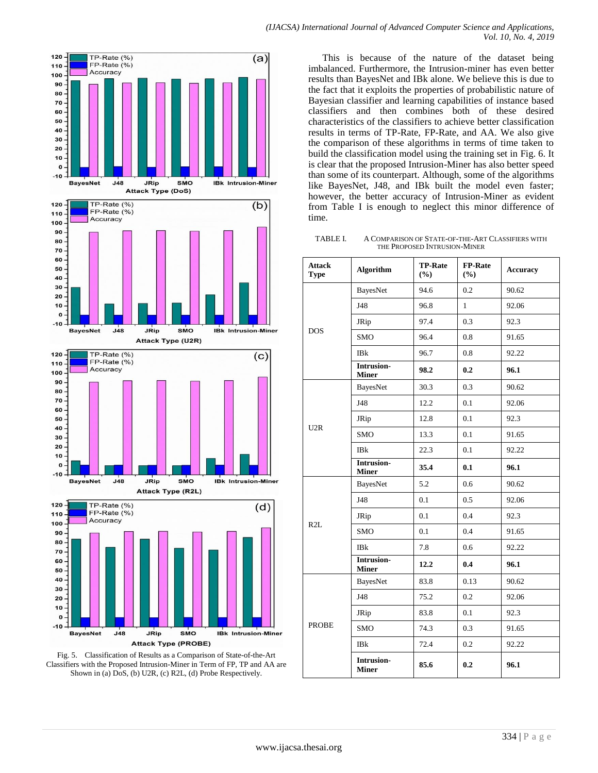



This is because of the nature of the dataset being imbalanced. Furthermore, the Intrusion-miner has even better results than BayesNet and IBk alone. We believe this is due to the fact that it exploits the properties of probabilistic nature of Bayesian classifier and learning capabilities of instance based classifiers and then combines both of these desired characteristics of the classifiers to achieve better classification results in terms of TP-Rate, FP-Rate, and AA. We also give the comparison of these algorithms in terms of time taken to build the classification model using the training set in Fig. 6. It is clear that the proposed Intrusion-Miner has also better speed than some of its counterpart. Although, some of the algorithms like BayesNet, J48, and IBk built the model even faster; however, the better accuracy of Intrusion-Miner as evident from Table I is enough to neglect this minor difference of time.

TABLE I. A COMPARISON OF STATE-OF-THE-ART CLASSIFIERS WITH THE PROPOSED INTRUSION-MINER

| <b>Attack</b><br><b>Type</b> | <b>Algorithm</b>                  | <b>TP-Rate</b><br>(%) | <b>FP-Rate</b><br>(%) | Accuracy |
|------------------------------|-----------------------------------|-----------------------|-----------------------|----------|
| <b>DOS</b>                   | <b>BayesNet</b>                   | 94.6                  | 0.2                   | 90.62    |
|                              | J48                               | 96.8                  | $\mathbf{1}$          | 92.06    |
|                              | JRip                              | 97.4                  | 0.3                   | 92.3     |
|                              | <b>SMO</b>                        | 96.4                  | 0.8                   | 91.65    |
|                              | IBk                               | 96.7                  | 0.8                   | 92.22    |
|                              | Intrusion-<br><b>Miner</b>        | 98.2                  | 0.2                   | 96.1     |
| U2R                          | BayesNet                          | 30.3                  | 0.3                   | 90.62    |
|                              | J48                               | 12.2                  | 0.1                   | 92.06    |
|                              | JRip                              | 12.8                  | 0.1                   | 92.3     |
|                              | <b>SMO</b>                        | 13.3                  | 0.1                   | 91.65    |
|                              | <b>IBk</b>                        | 22.3                  | 0.1                   | 92.22    |
|                              | <b>Intrusion-</b><br><b>Miner</b> | 35.4                  | 0.1                   | 96.1     |
| R2L                          | BayesNet                          | 5.2                   | 0.6                   | 90.62    |
|                              | J48                               | 0.1                   | 0.5                   | 92.06    |
|                              | JRip                              | 0.1                   | 0.4                   | 92.3     |
|                              | <b>SMO</b>                        | 0.1                   | 0.4                   | 91.65    |
|                              | IBk                               | 7.8                   | 0.6                   | 92.22    |
|                              | Intrusion-<br><b>Miner</b>        | 12.2                  | 0.4                   | 96.1     |
| <b>PROBE</b>                 | <b>BayesNet</b>                   | 83.8                  | 0.13                  | 90.62    |
|                              | J48                               | 75.2                  | 0.2                   | 92.06    |
|                              | JRip                              | 83.8                  | 0.1                   | 92.3     |
|                              | <b>SMO</b>                        | 74.3                  | 0.3                   | 91.65    |
|                              | <b>IBk</b>                        | 72.4                  | 0.2                   | 92.22    |
|                              | Intrusion-<br><b>Miner</b>        | 85.6                  | 0.2                   | 96.1     |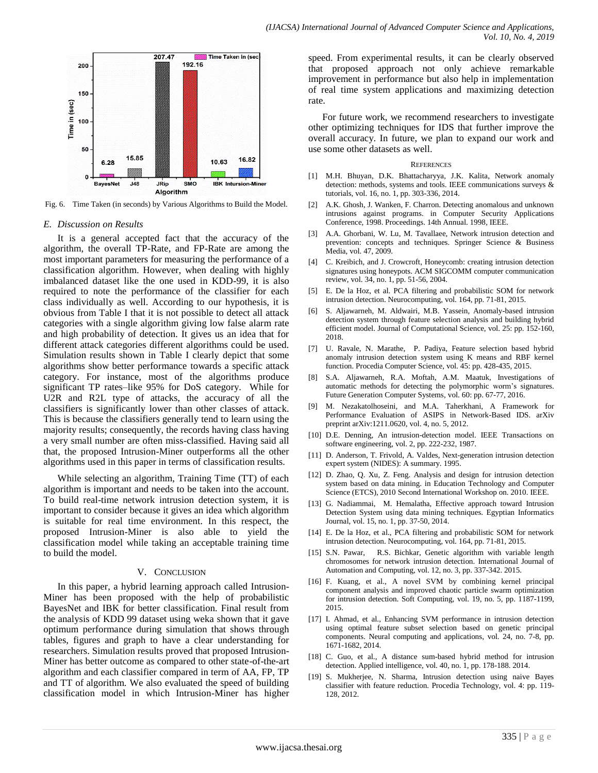

Fig. 6. Time Taken (in seconds) by Various Algorithms to Build the Model.

#### *E. Discussion on Results*

It is a general accepted fact that the accuracy of the algorithm, the overall TP-Rate, and FP-Rate are among the most important parameters for measuring the performance of a classification algorithm. However, when dealing with highly imbalanced dataset like the one used in KDD-99, it is also required to note the performance of the classifier for each class individually as well. According to our hypothesis, it is obvious from Table I that it is not possible to detect all attack categories with a single algorithm giving low false alarm rate and high probability of detection. It gives us an idea that for different attack categories different algorithms could be used. Simulation results shown in Table I clearly depict that some algorithms show better performance towards a specific attack category. For instance, most of the algorithms produce significant TP rates–like 95% for DoS category. While for U2R and R2L type of attacks, the accuracy of all the classifiers is significantly lower than other classes of attack. This is because the classifiers generally tend to learn using the majority results; consequently, the records having class having a very small number are often miss-classified. Having said all that, the proposed Intrusion-Miner outperforms all the other algorithms used in this paper in terms of classification results.

While selecting an algorithm, Training Time (TT) of each algorithm is important and needs to be taken into the account. To build real-time network intrusion detection system, it is important to consider because it gives an idea which algorithm is suitable for real time environment. In this respect, the proposed Intrusion-Miner is also able to yield the classification model while taking an acceptable training time to build the model.

#### V. CONCLUSION

In this paper, a hybrid learning approach called Intrusion-Miner has been proposed with the help of probabilistic BayesNet and IBK for better classification. Final result from the analysis of KDD 99 dataset using weka shown that it gave optimum performance during simulation that shows through tables, figures and graph to have a clear understanding for researchers. Simulation results proved that proposed Intrusion-Miner has better outcome as compared to other state-of-the-art algorithm and each classifier compared in term of AA, FP, TP and TT of algorithm. We also evaluated the speed of building classification model in which Intrusion-Miner has higher speed. From experimental results, it can be clearly observed that proposed approach not only achieve remarkable improvement in performance but also help in implementation of real time system applications and maximizing detection rate.

For future work, we recommend researchers to investigate other optimizing techniques for IDS that further improve the overall accuracy. In future, we plan to expand our work and use some other datasets as well.

#### **REFERENCES**

- [1] M.H. Bhuyan, D.K. Bhattacharyya, J.K. Kalita, Network anomaly detection: methods, systems and tools. IEEE communications surveys & tutorials, vol. 16, no. 1, pp. 303-336, 2014.
- [2] A.K. Ghosh, J. Wanken, F. Charron. Detecting anomalous and unknown intrusions against programs. in Computer Security Applications Conference, 1998. Proceedings. 14th Annual. 1998, IEEE.
- [3] A.A. Ghorbani, W. Lu, M. Tavallaee, Network intrusion detection and prevention: concepts and techniques. Springer Science & Business Media, vol. 47, 2009.
- [4] C. Kreibich, and J. Crowcroft, Honeycomb: creating intrusion detection signatures using honeypots. ACM SIGCOMM computer communication review, vol. 34, no. 1, pp. 51-56, 2004.
- [5] E. De la Hoz, et al. PCA filtering and probabilistic SOM for network intrusion detection. Neurocomputing, vol. 164, pp. 71-81, 2015.
- [6] S. Aljawarneh, M. Aldwairi, M.B. Yassein, Anomaly-based intrusion detection system through feature selection analysis and building hybrid efficient model. Journal of Computational Science, vol. 25: pp. 152-160, 2018.
- [7] U. Ravale, N. Marathe, P. Padiya, Feature selection based hybrid anomaly intrusion detection system using K means and RBF kernel function. Procedia Computer Science, vol. 45: pp. 428-435, 2015.
- [8] S.A. Aljawarneh, R.A. Moftah, A.M. Maatuk, Investigations of automatic methods for detecting the polymorphic worm's signatures. Future Generation Computer Systems, vol. 60: pp. 67-77, 2016.
- [9] M. Nezakatolhoseini, and M.A. Taherkhani, A Framework for Performance Evaluation of ASIPS in Network-Based IDS. arXiv preprint arXiv:1211.0620, vol. 4, no. 5, 2012.
- [10] D.E. Denning, An intrusion-detection model. IEEE Transactions on software engineering, vol. 2, pp. 222-232, 1987.
- [11] D. Anderson, T. Frivold, A. Valdes, Next-generation intrusion detection expert system (NIDES): A summary. 1995.
- [12] D. Zhao, Q. Xu, Z. Feng. Analysis and design for intrusion detection system based on data mining. in Education Technology and Computer Science (ETCS), 2010 Second International Workshop on. 2010. IEEE.
- [13] G. Nadiammai, M. Hemalatha, Effective approach toward Intrusion Detection System using data mining techniques. Egyptian Informatics Journal, vol. 15, no. 1, pp. 37-50, 2014.
- [14] E. De la Hoz, et al., PCA filtering and probabilistic SOM for network intrusion detection. Neurocomputing, vol. 164, pp. 71-81, 2015.
- [15] S.N. Pawar, R.S. Bichkar, Genetic algorithm with variable length chromosomes for network intrusion detection. International Journal of Automation and Computing, vol. 12, no. 3, pp. 337-342. 2015.
- [16] F. Kuang, et al., A novel SVM by combining kernel principal component analysis and improved chaotic particle swarm optimization for intrusion detection. Soft Computing, vol. 19, no. 5, pp. 1187-1199, 2015.
- [17] I. Ahmad, et al., Enhancing SVM performance in intrusion detection using optimal feature subset selection based on genetic principal components. Neural computing and applications, vol. 24, no. 7-8, pp. 1671-1682, 2014.
- [18] C. Guo, et al., A distance sum-based hybrid method for intrusion detection. Applied intelligence, vol. 40, no. 1, pp. 178-188. 2014.
- [19] S. Mukherjee, N. Sharma, Intrusion detection using naive Bayes classifier with feature reduction. Procedia Technology, vol. 4: pp. 119- 128, 2012.